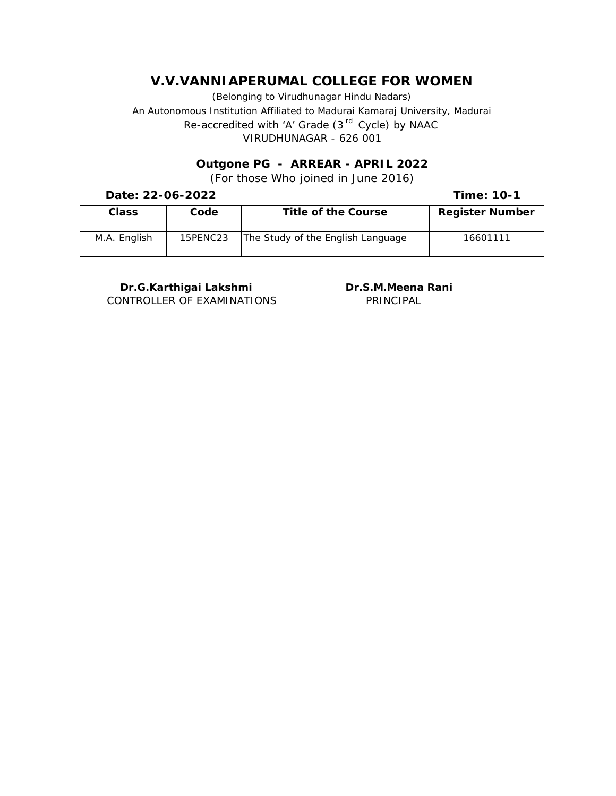(Belonging to Virudhunagar Hindu Nadars) An Autonomous Institution Affiliated to Madurai Kamaraj University, Madurai *Re-accredited with 'A' Grade (3 rd Cycle) by NAAC* VIRUDHUNAGAR - 626 001

> **Outgone PG - ARREAR - APRIL 2022** (For those Who joined in June 2016)

**Date: 22-06-2022**

**Time: 10-1**

| Class        | Code     | Title of the Course               | Register Number |
|--------------|----------|-----------------------------------|-----------------|
| M.A. English | 15PENC23 | The Study of the English Language | 16601111        |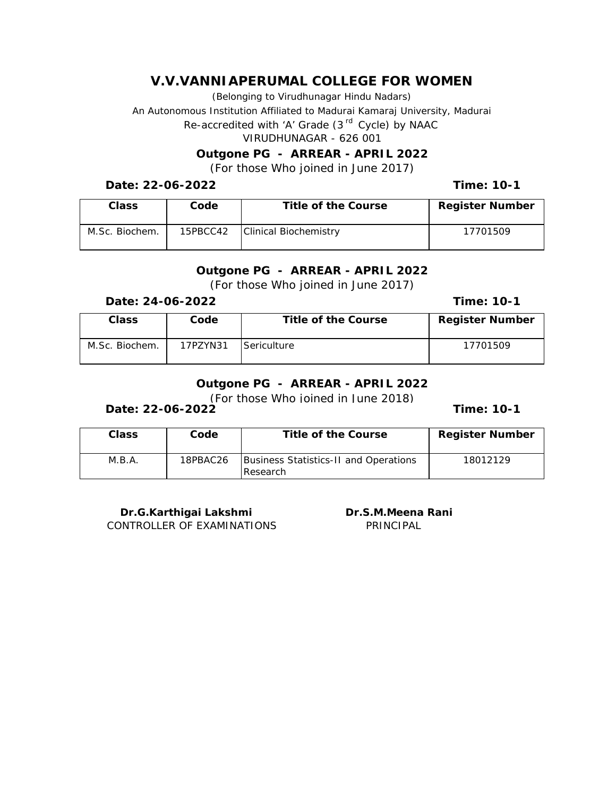(Belonging to Virudhunagar Hindu Nadars)

An Autonomous Institution Affiliated to Madurai Kamaraj University, Madurai

*Re-accredited with 'A' Grade (3 rd Cycle) by NAAC*

VIRUDHUNAGAR - 626 001

**Outgone PG - ARREAR - APRIL 2022**

(For those Who joined in June 2017)

**Date: 22-06-2022**

**Time: 10-1**

| Class          | Code     | Title of the Course   | Register Number |
|----------------|----------|-----------------------|-----------------|
| M.Sc. Biochem. | 15PBCC42 | Clinical Biochemistry | 17701509        |

#### **Outgone PG - ARREAR - APRIL 2022** (For those Who joined in June 2017)

**Date: 24-06-2022**

**Time: 10-1**

| Class          | Code     | Title of the Course | Register Number |
|----------------|----------|---------------------|-----------------|
| M.Sc. Biochem. | 17PZYN31 | Sericulture         | 17701509        |

# **Outgone PG - ARREAR - APRIL 2022**

(For those Who joined in June 2018)

**Date: 22-06-2022**

**Time: 10-1**

| Class  | Code     | Title of the Course                                        | Register Number |
|--------|----------|------------------------------------------------------------|-----------------|
| M.B.A. | 18PBAC26 | Business Statistics-II and Operations<br><b>I</b> Research | 18012129        |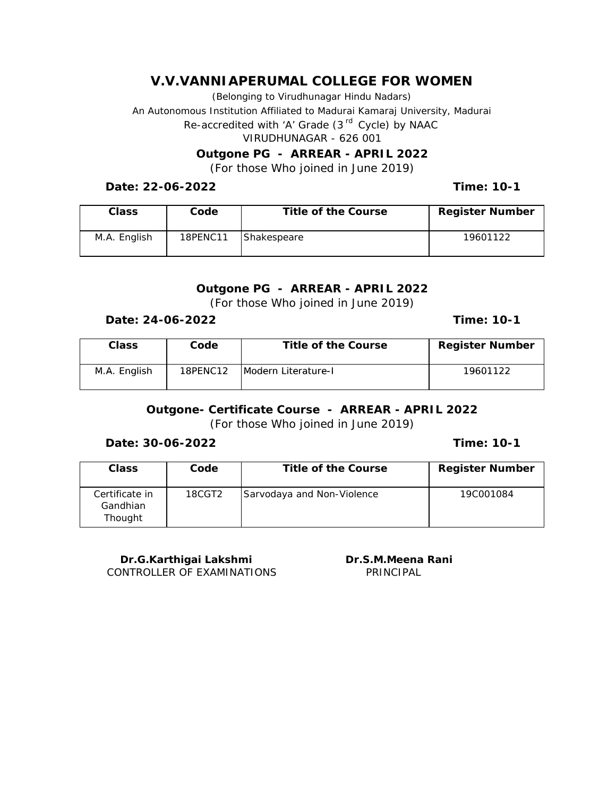(Belonging to Virudhunagar Hindu Nadars)

An Autonomous Institution Affiliated to Madurai Kamaraj University, Madurai

*Re-accredited with 'A' Grade (3 rd Cycle) by NAAC*

VIRUDHUNAGAR - 626 001

**Outgone PG - ARREAR - APRIL 2022**

(For those Who joined in June 2019)

**Date: 22-06-2022**

**Time: 10-1**

| Class        | Code     | Title of the Course | Register Number |
|--------------|----------|---------------------|-----------------|
| M.A. English | 18PENC11 | Shakespeare         | 19601122        |

**Outgone PG - ARREAR - APRIL 2022** (For those Who joined in June 2019)

**Date: 24-06-2022**

**Time: 10-1**

| Class        | Code     | Title of the Course | Register Number |
|--------------|----------|---------------------|-----------------|
| M.A. English | 18PENC12 | Modern Literature-I | 19601122        |

**Outgone- Certificate Course - ARREAR - APRIL 2022** (For those Who joined in June 2019)

**Date: 30-06-2022**

**Time: 10-1**

| Class                                 | Code   | Title of the Course        | Register Number |
|---------------------------------------|--------|----------------------------|-----------------|
| Certificate in<br>Gandhian<br>Thought | 18CGT2 | Sarvodaya and Non-Violence | 19C001084       |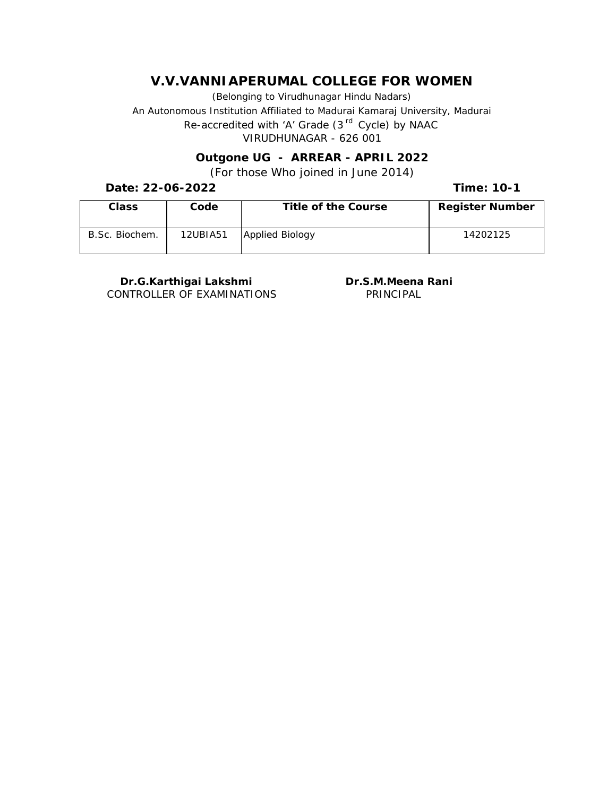(Belonging to Virudhunagar Hindu Nadars) An Autonomous Institution Affiliated to Madurai Kamaraj University, Madurai *Re-accredited with 'A' Grade (3 rd Cycle) by NAAC* VIRUDHUNAGAR - 626 001

> **Outgone UG - ARREAR - APRIL 2022** (For those Who joined in June 2014)

**Date: 22-06-2022**

**Time: 10-1**

| Class          | Code     | Title of the Course | Register Number |
|----------------|----------|---------------------|-----------------|
| B.Sc. Biochem. | 12UBIA51 | Applied Biology     | 14202125        |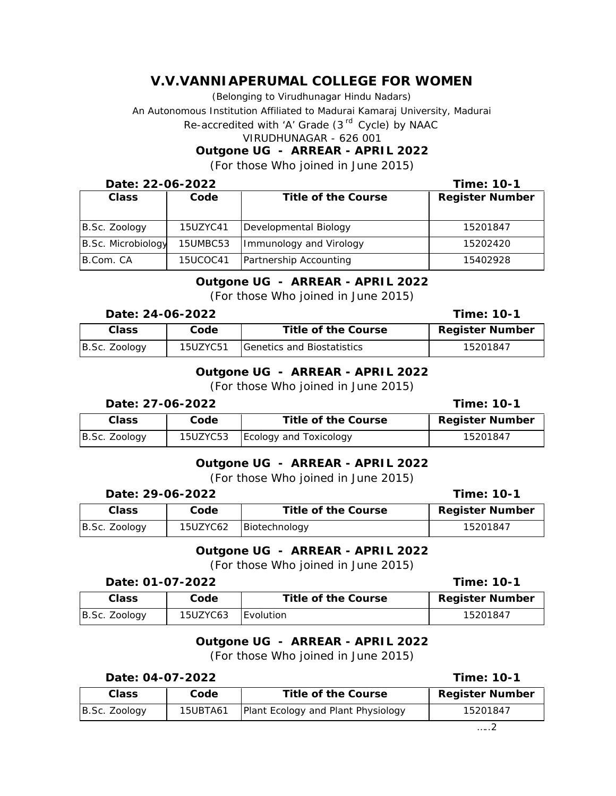(Belonging to Virudhunagar Hindu Nadars)

An Autonomous Institution Affiliated to Madurai Kamaraj University, Madurai

*Re-accredited with 'A' Grade (3 rd Cycle) by NAAC*

VIRUDHUNAGAR - 626 001

**Outgone UG - ARREAR - APRIL 2022**

#### (For those Who joined in June 2015)

| Date: 22-06-2022   |          |                         | Time: 10-1      |
|--------------------|----------|-------------------------|-----------------|
| Class              | Code     | Title of the Course     | Register Number |
|                    |          |                         |                 |
| B.Sc. Zoology      | 15UZYC41 | Developmental Biology   | 15201847        |
| B.Sc. Microbiology | 15UMBC53 | Immunology and Virology | 15202420        |
| B.Com. CA          | 15UCOC41 | Partnership Accounting  | 15402928        |

# **Outgone UG - ARREAR - APRIL 2022**

(For those Who joined in June 2015)

|               | Date: 24-06-2022 |                                      |                 |
|---------------|------------------|--------------------------------------|-----------------|
| Class         | Code             | Title of the Course                  | Register Number |
| B.Sc. Zoology | 15UZYC51         | <b>S</b> IGenetics and Biostatistics | 15201847        |

## **Outgone UG - ARREAR - APRIL 2022**

(For those Who joined in June 2015)

| Date: 27-06-2022 |          |                        | Time: 10-1      |
|------------------|----------|------------------------|-----------------|
| Class            | Code     | Title of the Course    | Register Number |
| B.Sc. Zoology    | 15UZYC53 | Ecology and Toxicology | 15201847        |

### **Outgone UG - ARREAR - APRIL 2022**

#### (For those Who joined in June 2015)

| Date: 29-06-2022 |          |                     | Time: 10-1      |
|------------------|----------|---------------------|-----------------|
| Class            | Code     | Title of the Course | Register Number |
| B.Sc. Zoology    | 15UZYC62 | Biotechnology       | 15201847        |

## **Outgone UG - ARREAR - APRIL 2022** (For those Who joined in June 2015)

| Date: 01-07-2022 |          |                     | Time: 10-1      |
|------------------|----------|---------------------|-----------------|
| Class            | Code     | Title of the Course | Register Number |
| B.Sc. Zoology    | 15UZYC63 | <b>I</b> Evolution  | 15201847        |

### **Outgone UG - ARREAR - APRIL 2022** (For those Who joined in June 2015)

#### **Date: 04-07-2022**

| Time: 10-1 |  |
|------------|--|
|------------|--|

| $B.$ Sc. Zoology<br>15UBTA61 | Plant Ecology and Plant Physiology | 15201847 |
|------------------------------|------------------------------------|----------|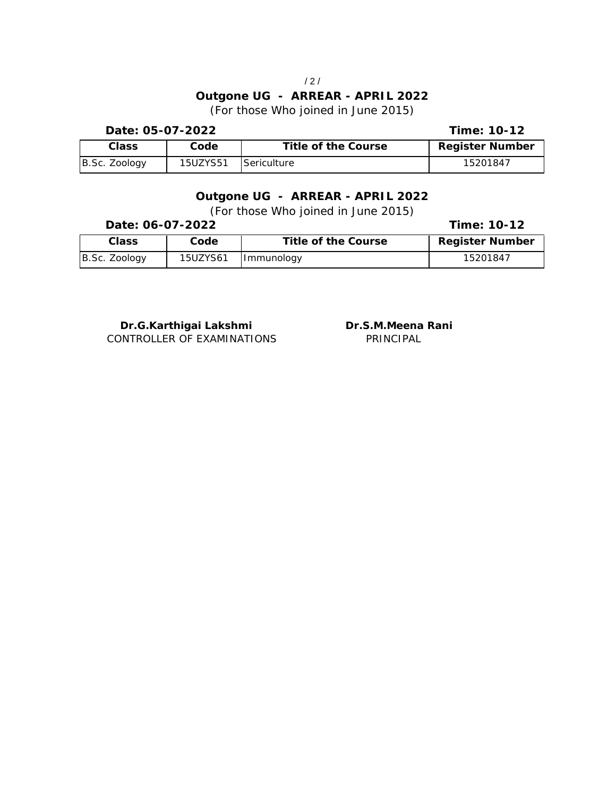# **Outgone UG - ARREAR - APRIL 2022** (For those Who joined in June 2015)

**Time: 10-12 Class Code Title of the Course Register Number** B.Sc. Zoology | 15UZYS51 Sericulture | 15201847 **Date: 05-07-2022**

#### **Outgone UG - ARREAR - APRIL 2022** (For those Who joined in June 2015)

| Date: 06-07-2022 |          |                     | Time: 10-12     |
|------------------|----------|---------------------|-----------------|
| Class            | Code     | Title of the Course | Register Number |
| B.Sc. Zoology    | 15UZYS61 | Immunology          | 15201847        |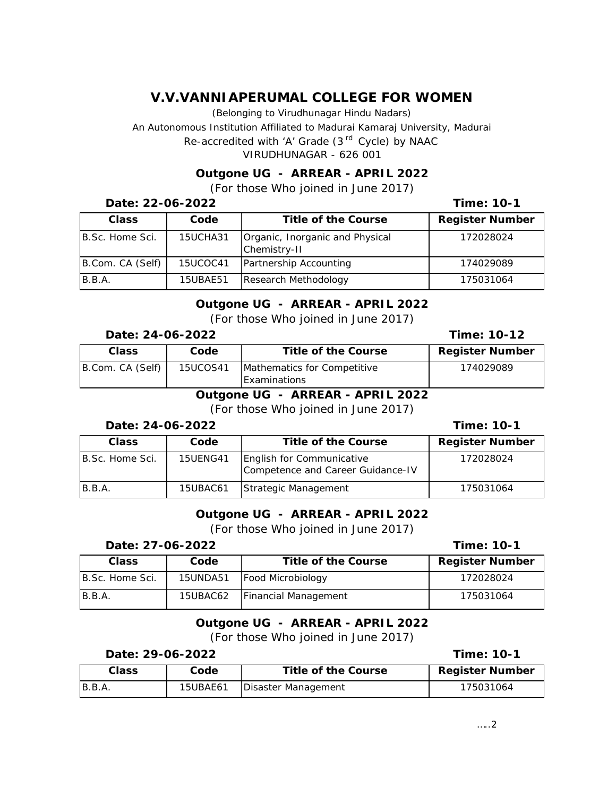(Belonging to Virudhunagar Hindu Nadars)

An Autonomous Institution Affiliated to Madurai Kamaraj University, Madurai

*Re-accredited with 'A' Grade (3 rd Cycle) by NAAC*

VIRUDHUNAGAR - 626 001

**Outgone UG - ARREAR - APRIL 2022** (For those Who joined in June 2017)

| Date: 22-06-2022 |          |                                                 | Time: 10-1      |
|------------------|----------|-------------------------------------------------|-----------------|
| Class            | Code     | Title of the Course                             | Register Number |
| B.Sc. Home Sci.  | 15UCHA31 | Organic, Inorganic and Physical<br>Chemistry-II | 172028024       |
| B.Com. CA (Self) | 15UCOC41 | Partnership Accounting                          | 174029089       |
| B.B.A.           | 15UBAE51 | Research Methodology                            | 175031064       |

#### **Outgone UG - ARREAR - APRIL 2022** (For those Who joined in June 2017)

| Date: 24-06-2022 |  |
|------------------|--|
|------------------|--|

| <u> DUNU. ET UU EULL</u> |          |                                                    |                 |
|--------------------------|----------|----------------------------------------------------|-----------------|
| Class                    | Code     | Title of the Course                                | Register Number |
| B.Com. CA (Self)         | 15UCOS41 | Mathematics for Competitive<br><b>Examinations</b> | 174029089       |
|                          | $\sim$   | $\cdot$ $\sim$<br>____<br>----                     |                 |

## **Outgone UG - ARREAR - APRIL 2022**

(For those Who joined in June 2017)

#### **Date: 24-06-2022**

| Class           | Code            | Title of the Course                                            | Register Number |
|-----------------|-----------------|----------------------------------------------------------------|-----------------|
| B.Sc. Home Sci. | <b>15UENG41</b> | English for Communicative<br>Competence and Career Guidance-IV | 172028024       |
| B.B.A.          | 15UBAC61        | Strategic Management                                           | 175031064       |

# **Outgone UG - ARREAR - APRIL 2022**

(For those Who joined in June 2017)

### **Date: 27-06-2022**

| Class            | Code     | Title of the Course  | Register Number |
|------------------|----------|----------------------|-----------------|
| IB.Sc. Home Sci. | 15UNDA51 | Food Microbiology    | 172028024       |
| B.B.A.           | 15UBAC62 | Financial Management | 175031064       |

# **Outgone UG - ARREAR - APRIL 2022**

(For those Who joined in June 2017)

| Date: 29-06-2022 |
|------------------|
|------------------|

**Time: 10-1**

| Class  | Code     | Title of the Course | Register Number |
|--------|----------|---------------------|-----------------|
| B.B.A. | 15UBAE61 | Disaster Management | 175031064       |

**Time: 10-12**

**Time: 10-1**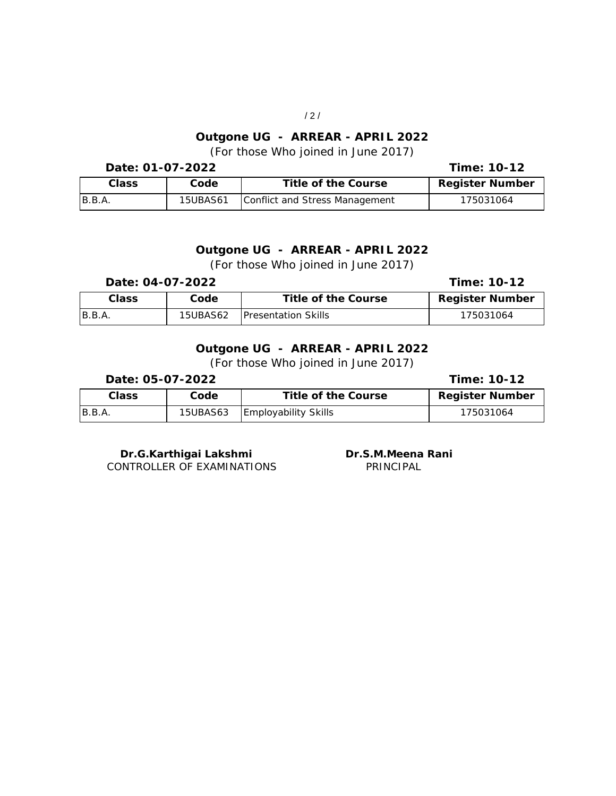## **Outgone UG - ARREAR - APRIL 2022** (For those Who joined in June 2017)

| Date: 01-07-2022 |                 |                                | Time: 10-12     |
|------------------|-----------------|--------------------------------|-----------------|
| Class            | Code            | Title of the Course            | Register Number |
| B.B.A.           | <b>15UBAS61</b> | Conflict and Stress Management | 175031064       |

## **Outgone UG - ARREAR - APRIL 2022** (For those Who joined in June 2017)

#### **Date: 04-07-2022**

# **Time: 10-12**

| Class  | Code            | Title of the Course         | Register Number |
|--------|-----------------|-----------------------------|-----------------|
| B.B.A. | <b>15UBAS62</b> | <b>IPresentation Skills</b> | 175031064       |

## **Outgone UG - ARREAR - APRIL 2022** (For those Who joined in June 2017)

| Date: 05-07-2022 |          |                             | Time: 10-12     |
|------------------|----------|-----------------------------|-----------------|
| Class            | Code     | Title of the Course         | Register Number |
| B.B.A.           | 15UBAS63 | <b>Employability Skills</b> | 175031064       |